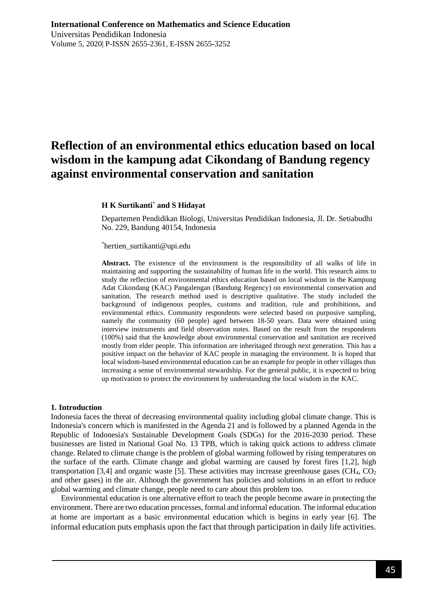# **Reflection of an environmental ethics education based on local wisdom in the kampung adat Cikondang of Bandung regency against environmental conservation and sanitation**

### **H K Surtikanti**\* **and S Hidayat**

Departemen Pendidikan Biologi, Universitas Pendidikan Indonesia, Jl. Dr. Setiabudhi No. 229, Bandung 40154, Indonesia

#### \*[hertien\\_surtikanti@upi.edu](mailto:*hertien_surtikanti@upi.edu)

**Abstract.** The existence of the environment is the responsibility of all walks of life in maintaining and supporting the sustainability of human life in the world. This research aims to study the reflection of environmental ethics education based on local wisdom in the Kampung Adat Cikondang (KAC) Pangalengan (Bandung Regency) on environmental conservation and sanitation. The research method used is descriptive qualitative. The study included the background of indigenous peoples, customs and tradition, rule and prohibitions, and environmental ethics. Community respondents were selected based on purposive sampling, namely the community (60 people) aged between 18-50 years. Data were obtained using interview instruments and field observation notes. Based on the result from the respondents (100%) said that the knowledge about environmental conservation and sanitation are received mostly from elder people. This information are inheritaged through next generation. This has a positive impact on the behavior of KAC people in managing the environment. It is hoped that local wisdom-based environmental education can be an example for people in other villages thus increasing a sense of environmental stewardship. For the general public, it is expected to bring up motivation to protect the environment by understanding the local wisdom in the KAC.

#### **1. Introduction**

Indonesia faces the threat of decreasing environmental quality including global climate change. This is Indonesia's concern which is manifested in the Agenda 21 and is followed by a planned Agenda in the Republic of Indonesia's Sustainable Development Goals (SDGs) for the 2016-2030 period. These businesses are listed in National Goal No. 13 TPB, which is taking quick actions to address climate change. Related to climate change is the problem of global warming followed by rising temperatures on the surface of the earth. Climate change and global warming are caused by forest fires [1,2], high transportation [3,4] and organic waste [5]. These activities may increase greenhouse gases  $(CH_4, CO_2)$ and other gases) in the air. Although the government has policies and solutions in an effort to reduce global warming and climate change, people need to care about this problem too.

Environmental education is one alternative effort to teach the people become aware in protecting the environment. There are two education processes, formal and informal education. The informal education at home are important as a basic environmental education which is begins in early year [6]. The informal education puts emphasis upon the fact that through participation in daily life activities.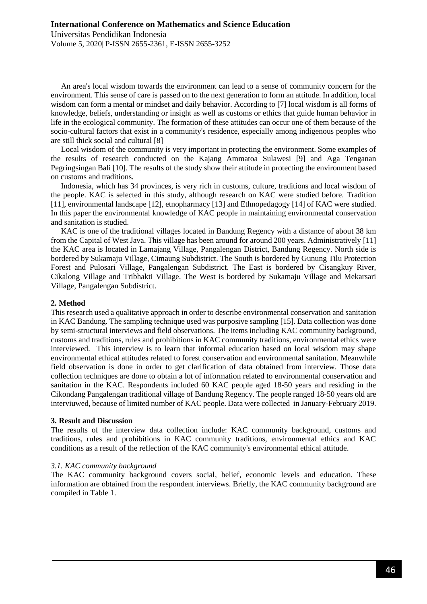An area's local wisdom towards the environment can lead to a sense of community concern for the environment. This sense of care is passed on to the next generation to form an attitude. In addition, local wisdom can form a mental or mindset and daily behavior. According to [7] local wisdom is all forms of knowledge, beliefs, understanding or insight as well as customs or ethics that guide human behavior in life in the ecological community. The formation of these attitudes can occur one of them because of the socio-cultural factors that exist in a community's residence, especially among indigenous peoples who are still thick social and cultural [8]

Local wisdom of the community is very important in protecting the environment. Some examples of the results of research conducted on the Kajang Ammatoa Sulawesi [9] and Aga Tenganan Pegringsingan Bali [10]. The results of the study show their attitude in protecting the environment based on customs and traditions.

Indonesia, which has 34 provinces, is very rich in customs, culture, traditions and local wisdom of the people. KAC is selected in this study, although research on KAC were studied before. Tradition [11], environmental landscape [12], etnopharmacy [13] and Ethnopedagogy [14] of KAC were studied. In this paper the environmental knowledge of KAC people in maintaining environmental conservation and sanitation is studied.

KAC is one of the traditional villages located in Bandung Regency with a distance of about 38 km from the Capital of West Java. This village has been around for around 200 years. Administratively [11] the KAC area is located in Lamajang Village, Pangalengan District, Bandung Regency. North side is bordered by Sukamaju Village, Cimaung Subdistrict. The South is bordered by Gunung Tilu Protection Forest and Pulosari Village, Pangalengan Subdistrict. The East is bordered by Cisangkuy River, Cikalong Village and Tribhakti Village. The West is bordered by Sukamaju Village and Mekarsari Village, Pangalengan Subdistrict.

### **2. Method**

This research used a qualitative approach in order to describe environmental conservation and sanitation in KAC Bandung. The sampling technique used was purposive sampling [15]. Data collection was done by semi-structural interviews and field observations. The items including KAC community background, customs and traditions, rules and prohibitions in KAC community traditions, environmental ethics were interviewed. This interview is to learn that informal education based on local wisdom may shape environmental ethical attitudes related to forest conservation and environmental sanitation. Meanwhile field observation is done in order to get clarification of data obtained from interview. Those data collection techniques are done to obtain a lot of information related to environmental conservation and sanitation in the KAC. Respondents included 60 KAC people aged 18-50 years and residing in the Cikondang Pangalengan traditional village of Bandung Regency. The people ranged 18-50 years old are interviuwed, because of limited number of KAC people. Data were collected in January-February 2019.

### **3. Result and Discussion**

The results of the interview data collection include: KAC community background, customs and traditions, rules and prohibitions in KAC community traditions, environmental ethics and KAC conditions as a result of the reflection of the KAC community's environmental ethical attitude.

## *3.1. KAC community background*

The KAC community background covers social, belief, economic levels and education. These information are obtained from the respondent interviews. Briefly, the KAC community background are compiled in Table 1.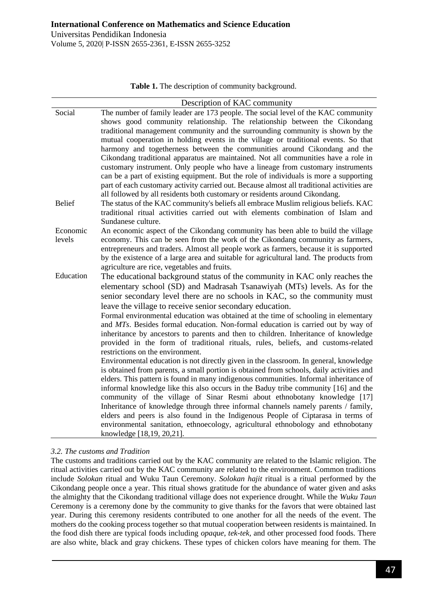**Table 1.** The description of community background.

|               | Description of KAC community                                                                           |
|---------------|--------------------------------------------------------------------------------------------------------|
| Social        | The number of family leader are 173 people. The social level of the KAC community                      |
|               | shows good community relationship. The relationship between the Cikondang                              |
|               | traditional management community and the surrounding community is shown by the                         |
|               | mutual cooperation in holding events in the village or traditional events. So that                     |
|               | harmony and togetherness between the communities around Cikondang and the                              |
|               | Cikondang traditional apparatus are maintained. Not all communities have a role in                     |
|               | customary instrument. Only people who have a lineage from customary instruments                        |
|               | can be a part of existing equipment. But the role of individuals is more a supporting                  |
|               | part of each customary activity carried out. Because almost all traditional activities are             |
|               | all followed by all residents both customary or residents around Cikondang.                            |
| <b>Belief</b> | The status of the KAC community's beliefs all embrace Muslim religious beliefs. KAC                    |
|               | traditional ritual activities carried out with elements combination of Islam and<br>Sundanese culture. |
| Economic      | An economic aspect of the Cikondang community has been able to build the village                       |
| levels        | economy. This can be seen from the work of the Cikondang community as farmers,                         |
|               | entrepreneurs and traders. Almost all people work as farmers, because it is supported                  |
|               | by the existence of a large area and suitable for agricultural land. The products from                 |
|               | agriculture are rice, vegetables and fruits.                                                           |
| Education     | The educational background status of the community in KAC only reaches the                             |
|               | elementary school (SD) and Madrasah Tsanawiyah (MTs) levels. As for the                                |
|               | senior secondary level there are no schools in KAC, so the community must                              |
|               | leave the village to receive senior secondary education.                                               |
|               | Formal environmental education was obtained at the time of schooling in elementary                     |
|               | and MTs. Besides formal education. Non-formal education is carried out by way of                       |
|               | inheritance by ancestors to parents and then to children. Inheritance of knowledge                     |
|               | provided in the form of traditional rituals, rules, beliefs, and customs-related                       |
|               | restrictions on the environment.                                                                       |
|               | Environmental education is not directly given in the classroom. In general, knowledge                  |
|               | is obtained from parents, a small portion is obtained from schools, daily activities and               |
|               | elders. This pattern is found in many indigenous communities. Informal inheritance of                  |
|               | informal knowledge like this also occurs in the Baduy tribe community [16] and the                     |
|               | community of the village of Sinar Resmi about ethnobotany knowledge [17]                               |
|               | Inheritance of knowledge through three informal channels namely parents / family,                      |
|               | elders and peers is also found in the Indigenous People of Ciptarasa in terms of                       |
|               | environmental sanitation, ethnoecology, agricultural ethnobology and ethnobotany                       |
|               | knowledge [18,19, 20,21].                                                                              |

### *3.2. The customs and Tradition*

The customs and traditions carried out by the KAC community are related to the Islamic religion. The ritual activities carried out by the KAC community are related to the environment. Common traditions include *Solokan* ritual and Wuku Taun Ceremony. *Solokan hajit* ritual is a ritual performed by the Cikondang people once a year. This ritual shows gratitude for the abundance of water given and asks the almighty that the Cikondang traditional village does not experience drought. While the *Wuku Taun*  Ceremony is a ceremony done by the community to give thanks for the favors that were obtained last year. During this ceremony residents contributed to one another for all the needs of the event. The mothers do the cooking process together so that mutual cooperation between residents is maintained. In the food dish there are typical foods including *opaque*, *tek-tek,* and other processed food foods. There are also white, black and gray chickens. These types of chicken colors have meaning for them. The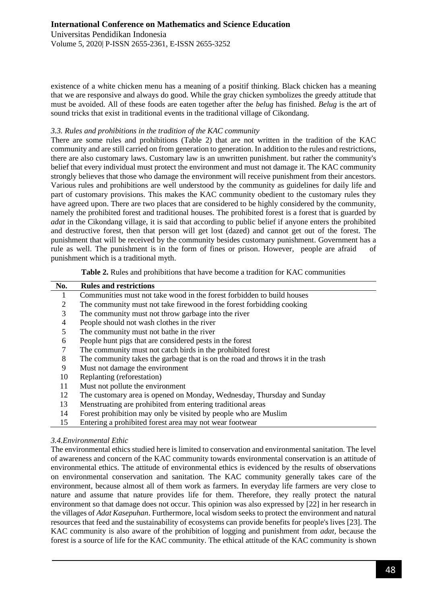existence of a white chicken menu has a meaning of a positif thinking. Black chicken has a meaning that we are responsive and always do good. While the gray chicken symbolizes the greedy attitude that must be avoided. All of these foods are eaten together after the *belug* has finished. *Belug* is the art of sound tricks that exist in traditional events in the traditional village of Cikondang.

### *3.3. Rules and prohibitions in the tradition of the KAC community*

There are some rules and prohibitions (Table 2) that are not written in the tradition of the KAC community and are still carried on from generation to generation. In addition to the rules and restrictions, there are also customary laws. Customary law is an unwritten punishment. but rather the community's belief that every individual must protect the environment and must not damage it. The KAC community strongly believes that those who damage the environment will receive punishment from their ancestors. Various rules and prohibitions are well understood by the community as guidelines for daily life and part of customary provisions. This makes the KAC community obedient to the customary rules they have agreed upon. There are two places that are considered to be highly considered by the community, namely the prohibited forest and traditional houses. The prohibited forest is a forest that is guarded by *adat* in the Cikondang village, it is said that according to public belief if anyone enters the prohibited and destructive forest, then that person will get lost (dazed) and cannot get out of the forest. The punishment that will be received by the community besides customary punishment. Government has a rule as well. The punishment is in the form of fines or prison. However, people are afraid of punishment which is a traditional myth.

**Table 2.** Rules and prohibitions that have become a tradition for KAC communities

| No. | <b>Rules and restrictions</b>                                                  |
|-----|--------------------------------------------------------------------------------|
| 1   | Communities must not take wood in the forest forbidden to build houses         |
| 2   | The community must not take firewood in the forest forbidding cooking          |
| 3   | The community must not throw garbage into the river                            |
| 4   | People should not wash clothes in the river                                    |
| 5   | The community must not bathe in the river                                      |
| 6   | People hunt pigs that are considered pests in the forest                       |
| 7   | The community must not catch birds in the prohibited forest                    |
| 8   | The community takes the garbage that is on the road and throws it in the trash |
| 9   | Must not damage the environment                                                |
| 10  | Replanting (reforestation)                                                     |
| 11  | Must not pollute the environment                                               |
| 12  | The customary area is opened on Monday, Wednesday, Thursday and Sunday         |
| 13  | Menstruating are prohibited from entering traditional areas                    |
| 14  | Forest prohibition may only be visited by people who are Muslim                |
| 15  | Entering a prohibited forest area may not wear footwear                        |
|     |                                                                                |

### *3.4.Environmental Ethic*

The environmental ethics studied here is limited to conservation and environmental sanitation. The level of awareness and concern of the KAC community towards environmental conservation is an attitude of environmental ethics. The attitude of environmental ethics is evidenced by the results of observations on environmental conservation and sanitation. The KAC community generally takes care of the environment, because almost all of them work as farmers. In everyday life farmers are very close to nature and assume that nature provides life for them. Therefore, they really protect the natural environment so that damage does not occur. This opinion was also expressed by [22] in her research in the villages of *Adat Kasepuhan*. Furthermore, local wisdom seeks to protect the environment and natural resources that feed and the sustainability of ecosystems can provide benefits for people's lives [23]. The KAC community is also aware of the prohibition of logging and punishment from *adat,* because the forest is a source of life for the KAC community. The ethical attitude of the KAC community is shown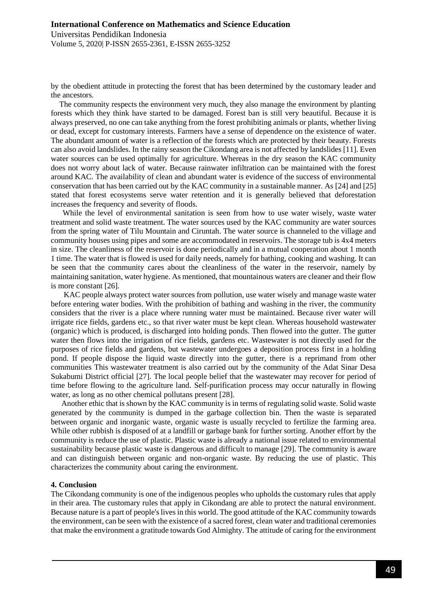by the obedient attitude in protecting the forest that has been determined by the customary leader and the ancestors.

The community respects the environment very much, they also manage the environment by planting forests which they think have started to be damaged. Forest ban is still very beautiful. Because it is always preserved, no one can take anything from the forest prohibiting animals or plants, whether living or dead, except for customary interests. Farmers have a sense of dependence on the existence of water. The abundant amount of water is a reflection of the forests which are protected by their beauty. Forests can also avoid landslides. In the rainy season the Cikondang area is not affected by landslides [11]. Even water sources can be used optimally for agriculture. Whereas in the dry season the KAC community does not worry about lack of water. Because rainwater infiltration can be maintained with the forest around KAC. The availability of clean and abundant water is evidence of the success of environmental conservation that has been carried out by the KAC community in a sustainable manner. As [24] and [25] stated that forest ecosystems serve water retention and it is generally believed that deforestation increases the frequency and severity of floods.

 While the level of environmental sanitation is seen from how to use water wisely, waste water treatment and solid waste treatment. The water sources used by the KAC community are water sources from the spring water of Tilu Mountain and Ciruntah. The water source is channeled to the village and community houses using pipes and some are accommodated in reservoirs. The storage tub is 4x4 meters in size. The cleanliness of the reservoir is done periodically and in a mutual cooperation about 1 month 1 time. The water that is flowed is used for daily needs, namely for bathing, cooking and washing. It can be seen that the community cares about the cleanliness of the water in the reservoir, namely by maintaining sanitation, water hygiene. As mentioned, that mountainous waters are cleaner and their flow is more constant [26].

 KAC people always protect water sources from pollution, use water wisely and manage waste water before entering water bodies. With the prohibition of bathing and washing in the river, the community considers that the river is a place where running water must be maintained. Because river water will irrigate rice fields, gardens etc., so that river water must be kept clean. Whereas household wastewater (organic) which is produced, is discharged into holding ponds. Then flowed into the gutter. The gutter water then flows into the irrigation of rice fields, gardens etc. Wastewater is not directly used for the purposes of rice fields and gardens, but wastewater undergoes a deposition process first in a holding pond. If people dispose the liquid waste directly into the gutter, there is a reprimand from other communities This wastewater treatment is also carried out by the community of the Adat Sinar Desa Sukabumi District official [27]. The local people belief that the wastewater may recover for period of time before flowing to the agriculture land. Self-purification process may occur naturally in flowing water, as long as no other chemical pollutans present [28].

 Another ethic that is shown by the KAC community is in terms of regulating solid waste. Solid waste generated by the community is dumped in the garbage collection bin. Then the waste is separated between organic and inorganic waste, organic waste is usually recycled to fertilize the farming area. While other rubbish is disposed of at a landfill or garbage bank for further sorting. Another effort by the community is reduce the use of plastic. Plastic waste is already a national issue related to environmental sustainability because plastic waste is dangerous and difficult to manage [29]. The community is aware and can distinguish between organic and non-organic waste. By reducing the use of plastic. This characterizes the community about caring the environment.

#### **4. Conclusion**

The Cikondang community is one of the indigenous peoples who upholds the customary rules that apply in their area. The customary rules that apply in Cikondang are able to protect the natural environment. Because nature is a part of people's lives in this world. The good attitude of the KAC community towards the environment, can be seen with the existence of a sacred forest, clean water and traditional ceremonies that make the environment a gratitude towards God Almighty. The attitude of caring for the environment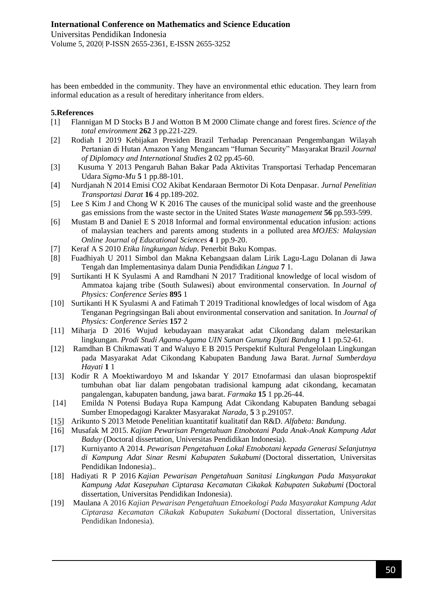has been embedded in the community. They have an environmental ethic education. They learn from informal education as a result of hereditary inheritance from elders.

## **5.References**

- [1] Flannigan M D Stocks B J and Wotton B M 2000 Climate change and forest fires. *Science of the total environment* **262** 3 pp.221-229.
- [2] Rodiah I 2019 Kebijakan Presiden Brazil Terhadap Perencanaan Pengembangan Wilayah Pertanian di Hutan Amazon Yang Mengancam "Human Security" Masyarakat Brazil *Journal of Diplomacy and International Studies* **2** 02 pp.45-60.
- [3] Kusuma Y 2013 Pengaruh Bahan Bakar Pada Aktivitas Transportasi Terhadap Pencemaran Udara *Sigma-Mu* **5** 1 pp.88-101.
- [4] Nurdjanah N 2014 Emisi CO2 Akibat Kendaraan Bermotor Di Kota Denpasar. *Jurnal Penelitian Transportasi Darat* **16** 4 pp.189-202.
- [5] Lee S Kim J and Chong W K 2016 The causes of the municipal solid waste and the greenhouse gas emissions from the waste sector in the United States *Waste management* **56** pp.593-599.
- [6] Mustam B and Daniel E S 2018 Informal and formal environmental education infusion: actions of malaysian teachers and parents among students in a polluted area *MOJES: Malaysian Online Journal of Educational Sciences* **4** 1 pp.9-20.
- [7] Keraf A S 2010 *Etika lingkungan hidup*. Penerbit Buku Kompas.
- [8] Fuadhiyah U 2011 Simbol dan Makna Kebangsaan dalam Lirik Lagu-Lagu Dolanan di Jawa Tengah dan Implementasinya dalam Dunia Pendidikan *Lingua* **7** 1.
- [9] Surtikanti H K Syulasmi A and Ramdhani N 2017 Traditional knowledge of local wisdom of Ammatoa kajang tribe (South Sulawesi) about environmental conservation. In *Journal of Physics: Conference Series* **895** 1
- [10] Surtikanti H K Syulasmi A and Fatimah T 2019 Traditional knowledges of local wisdom of Aga Tenganan Pegringsingan Bali about environmental conservation and sanitation. In *Journal of Physics: Conference Series* **157** 2
- [11] Miharja D 2016 Wujud kebudayaan masyarakat adat Cikondang dalam melestarikan lingkungan. *Prodi Studi Agama-Agama UIN Sunan Gunung Djati Bandung* **1** 1 pp.52-61.
- [12] Ramdhan B Chikmawati T and Waluyo E B 2015 Perspektif Kultural Pengelolaan Lingkungan pada Masyarakat Adat Cikondang Kabupaten Bandung Jawa Barat. *Jurnal Sumberdaya Hayati* **1** 1
- [13] Kodir R A Moektiwardoyo M and Iskandar Y 2017 Etnofarmasi dan ulasan bioprospektif tumbuhan obat liar dalam pengobatan tradisional kampung adat cikondang, kecamatan pangalengan, kabupaten bandung, jawa barat. *Farmaka* **15** 1 pp.26-44.
- [14] Emilda N Potensi Budaya Rupa Kampung Adat Cikondang Kabupaten Bandung sebagai Sumber Etnopedagogi Karakter Masyarakat *Narada*, **5** 3 p.291057.
- [15] Arikunto S 2013 Metode Penelitian kuantitatif kualitatif dan R&D. *Alfabeta: Bandung*.
- [16] Musafak M 2015. *Kajian Pewarisan Pengetahuan Etnobotani Pada Anak-Anak Kampung Adat Baduy* (Doctoral dissertation, Universitas Pendidikan Indonesia).
- [17] Kurniyanto A 2014. *Pewarisan Pengetahuan Lokal Etnobotani kepada Generasi Selanjutnya di Kampung Adat Sinar Resmi Kabupaten Sukabumi* (Doctoral dissertation, Universitas Pendidikan Indonesia)..
- [18] Hadiyati R P 2016 *Kajian Pewarisan Pengetahuan Sanitasi Lingkungan Pada Masyarakat Kampung Adat Kasepuhan Ciptarasa Kecamatan Cikakak Kabupaten Sukabumi* (Doctoral dissertation, Universitas Pendidikan Indonesia).
- [19] Maulana A 2016 *Kajian Pewarisan Pengetahuan Etnoekologi Pada Masyarakat Kampung Adat Ciptarasa Kecamatan Cikakak Kabupaten Sukabumi* (Doctoral dissertation, Universitas Pendidikan Indonesia).